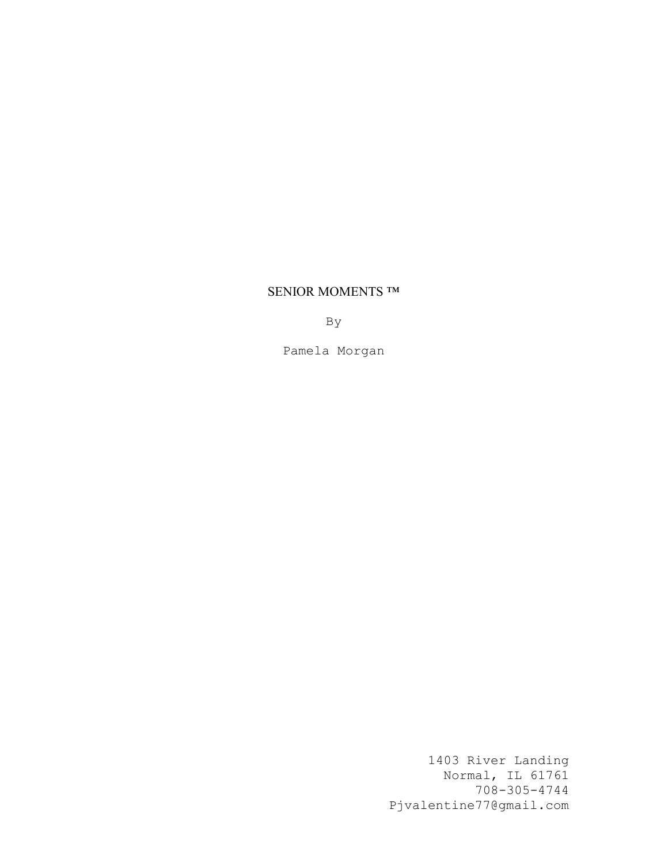# SENIOR MOMENTS ™

By

Pamela Morgan

1403 River Landing Normal, IL 61761 708-305-4744 Pjvalentine77@gmail.com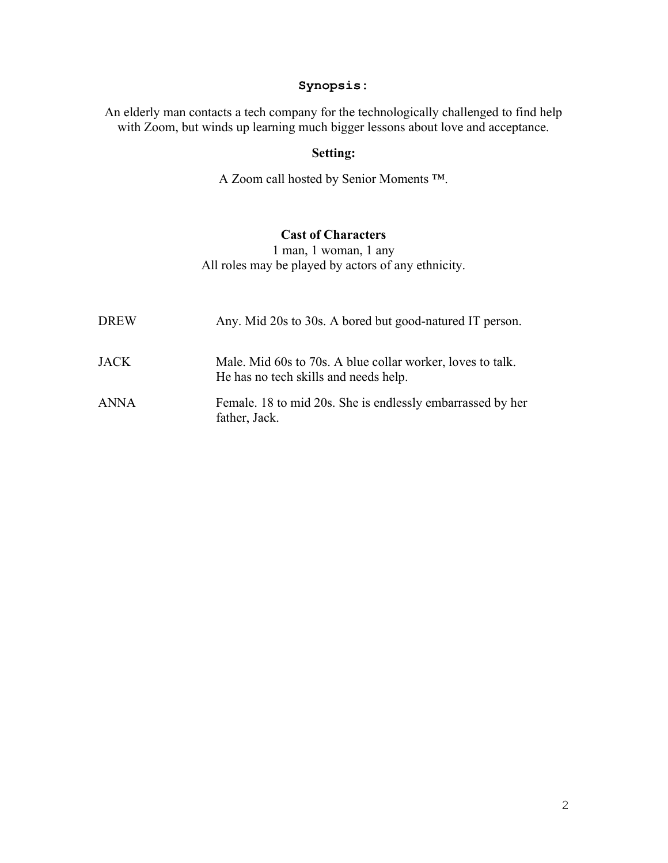# Synopsis:

An elderly man contacts a tech company for the technologically challenged to find help with Zoom, but winds up learning much bigger lessons about love and acceptance.

# Setting:

A Zoom call hosted by Senior Moments ™.

# Cast of Characters

1 man, 1 woman, 1 any All roles may be played by actors of any ethnicity.

| <b>DREW</b> | Any. Mid 20s to 30s. A bored but good-natured IT person.                                            |
|-------------|-----------------------------------------------------------------------------------------------------|
| <b>JACK</b> | Male. Mid 60s to 70s. A blue collar worker, loves to talk.<br>He has no tech skills and needs help. |
| <b>ANNA</b> | Female. 18 to mid 20s. She is endlessly embarrassed by her<br>father, Jack.                         |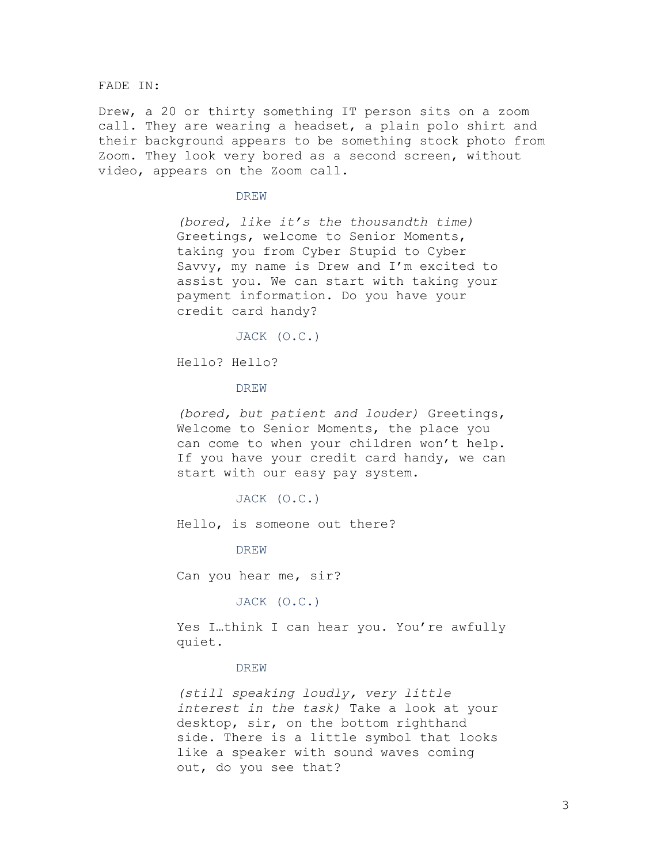FADE IN:

Drew, a 20 or thirty something IT person sits on a zoom call. They are wearing a headset, a plain polo shirt and their background appears to be something stock photo from Zoom. They look very bored as a second screen, without video, appears on the Zoom call.

DREW

(bored, like it's the thousandth time) Greetings, welcome to Senior Moments, taking you from Cyber Stupid to Cyber Savvy, my name is Drew and I'm excited to assist you. We can start with taking your payment information. Do you have your credit card handy?

JACK (O.C.)

Hello? Hello?

DREW

(bored, but patient and louder) Greetings, Welcome to Senior Moments, the place you can come to when your children won't help. If you have your credit card handy, we can start with our easy pay system.

JACK (O.C.)

Hello, is someone out there?

DREW

Can you hear me, sir?

JACK (O.C.)

Yes I..think I can hear you. You're awfully quiet.

### **DREW**

(still speaking loudly, very little interest in the task) Take a look at your desktop, sir, on the bottom righthand side. There is a little symbol that looks like a speaker with sound waves coming out, do you see that?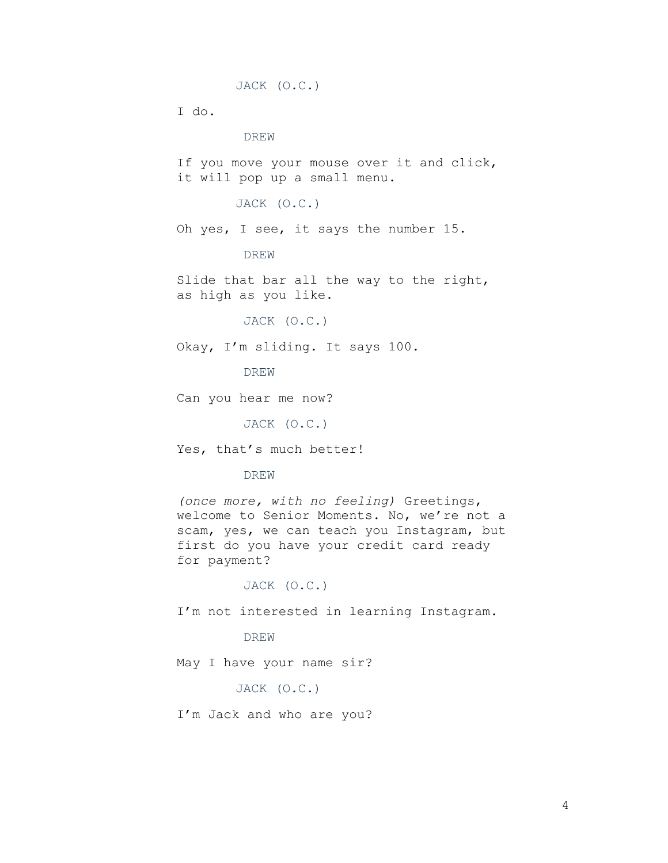```
JACK (O.C.)
```
I do.

# DREW

If you move your mouse over it and click, it will pop up a small menu.

# JACK (O.C.)

Oh yes, I see, it says the number 15.

# DREW

Slide that bar all the way to the right, as high as you like.

# JACK (O.C.)

Okay, I'm sliding. It says 100.

DREW

Can you hear me now?

JACK (O.C.)

Yes, that's much better!

# DREW

(once more, with no feeling) Greetings, welcome to Senior Moments. No, we're not a scam, yes, we can teach you Instagram, but first do you have your credit card ready for payment?

# JACK (O.C.)

I'm not interested in learning Instagram.

# DREW

May I have your name sir?

JACK (O.C.)

I'm Jack and who are you?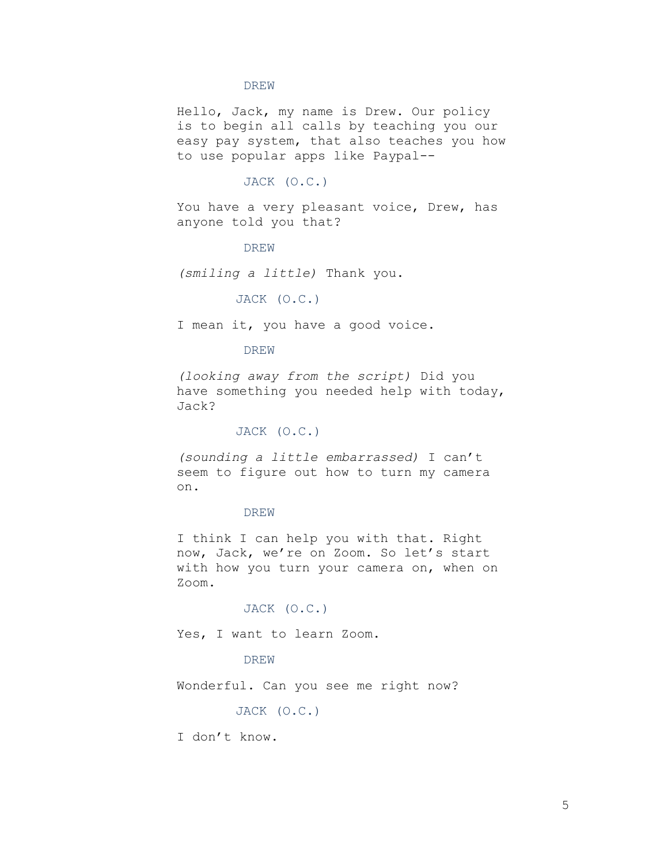Hello, Jack, my name is Drew. Our policy is to begin all calls by teaching you our easy pay system, that also teaches you how to use popular apps like Paypal--

# JACK (O.C.)

You have a very pleasant voice, Drew, has anyone told you that?

#### DREW

(smiling a little) Thank you.

# JACK (O.C.)

I mean it, you have a good voice.

# DREW

(looking away from the script) Did you have something you needed help with today, Jack?

# JACK (O.C.)

(sounding a little embarrassed) I can't seem to figure out how to turn my camera on.

# DREW

I think I can help you with that. Right now, Jack, we're on Zoom. So let's start with how you turn your camera on, when on Zoom.

# JACK (O.C.)

Yes, I want to learn Zoom.

# **DREW**

Wonderful. Can you see me right now?

# JACK (O.C.)

I don't know.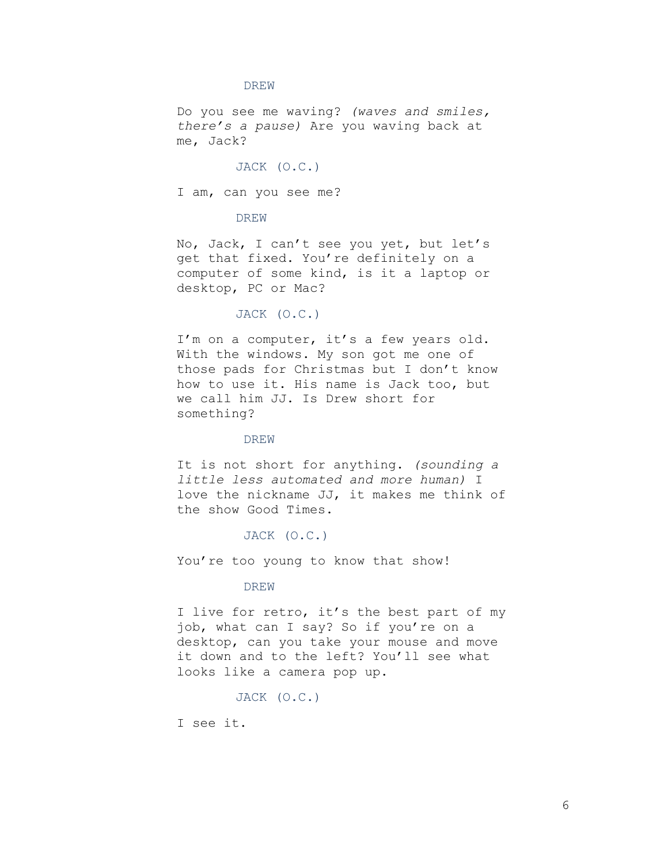Do you see me waving? (waves and smiles, there's a pause) Are you waving back at me, Jack?

JACK (O.C.)

I am, can you see me?

DREW

No, Jack, I can't see you yet, but let's get that fixed. You're definitely on a computer of some kind, is it a laptop or desktop, PC or Mac?

# JACK (O.C.)

I'm on a computer, it's a few years old. With the windows. My son got me one of those pads for Christmas but I don't know how to use it. His name is Jack too, but we call him JJ. Is Drew short for something?

### DREW

It is not short for anything. (sounding a little less automated and more human) I love the nickname JJ, it makes me think of the show Good Times.

### JACK (O.C.)

You're too young to know that show!

### DREW

I live for retro, it's the best part of my job, what can I say? So if you're on a desktop, can you take your mouse and move it down and to the left? You'll see what looks like a camera pop up.

JACK (O.C.)

I see it.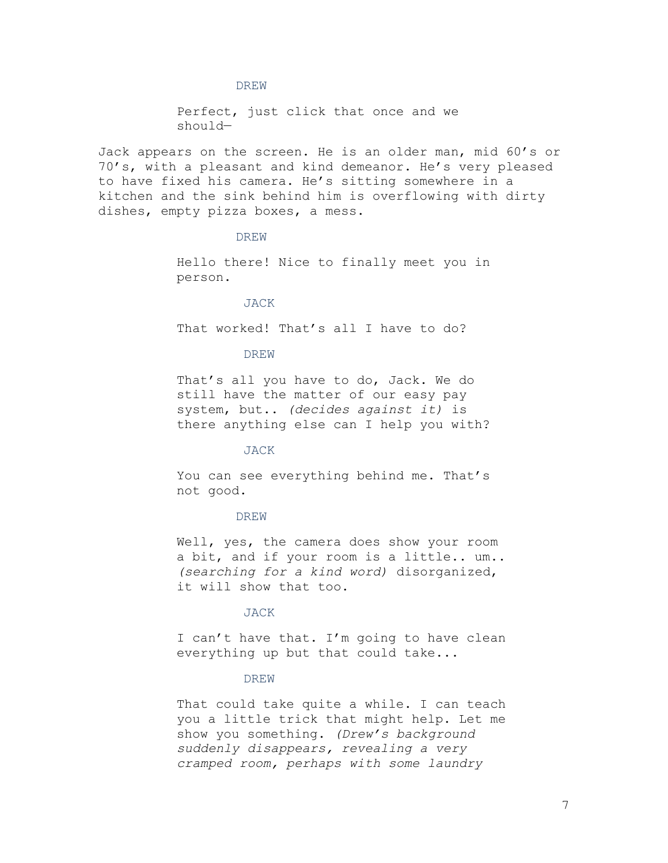Perfect, just click that once and we should—

Jack appears on the screen. He is an older man, mid 60's or 70's, with a pleasant and kind demeanor. He's very pleased to have fixed his camera. He's sitting somewhere in a kitchen and the sink behind him is overflowing with dirty dishes, empty pizza boxes, a mess.

# DREW

Hello there! Nice to finally meet you in person.

### JACK

That worked! That's all I have to do?

#### DREW

That's all you have to do, Jack. We do still have the matter of our easy pay system, but.. (decides against it) is there anything else can I help you with?

### JACK

You can see everything behind me. That's not good.

### DREW

Well, yes, the camera does show your room a bit, and if your room is a little.. um.. (searching for a kind word) disorganized, it will show that too.

# JACK

I can't have that. I'm going to have clean everything up but that could take...

### DREW

That could take quite a while. I can teach you a little trick that might help. Let me show you something. (Drew's background suddenly disappears, revealing a very cramped room, perhaps with some laundry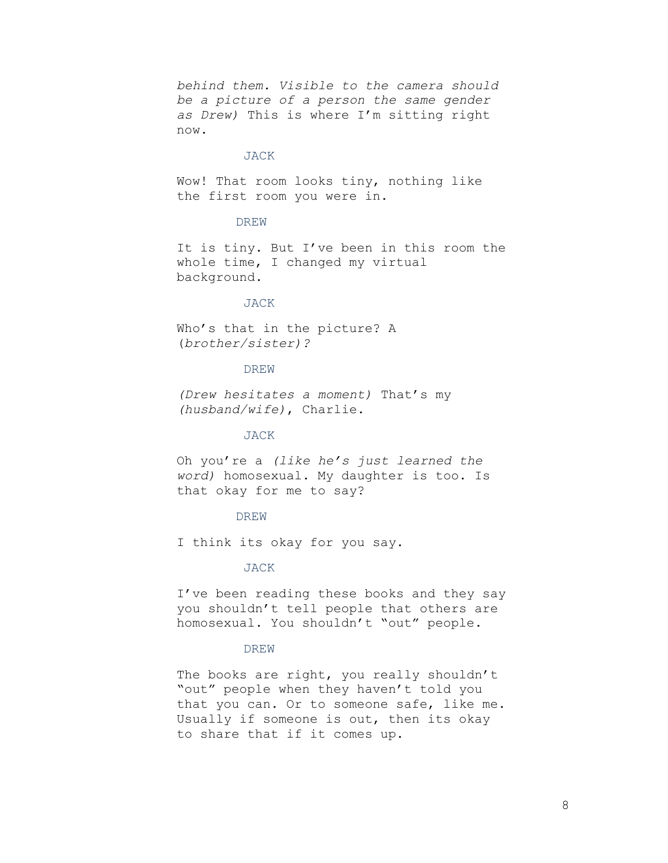behind them. Visible to the camera should be a picture of a person the same gender as Drew) This is where I'm sitting right now.

### JACK

Wow! That room looks tiny, nothing like the first room you were in.

# DREW

It is tiny. But I've been in this room the whole time, I changed my virtual background.

#### JACK

Who's that in the picture? A (brother/sister)?

# DREW

(Drew hesitates a moment) That's my (husband/wife), Charlie.

# JACK

Oh you're a (like he's just learned the word) homosexual. My daughter is too. Is that okay for me to say?

#### DREW

I think its okay for you say.

#### JACK

I've been reading these books and they say you shouldn't tell people that others are homosexual. You shouldn't "out" people.

# DREW

The books are right, you really shouldn't "out" people when they haven't told you that you can. Or to someone safe, like me. Usually if someone is out, then its okay to share that if it comes up.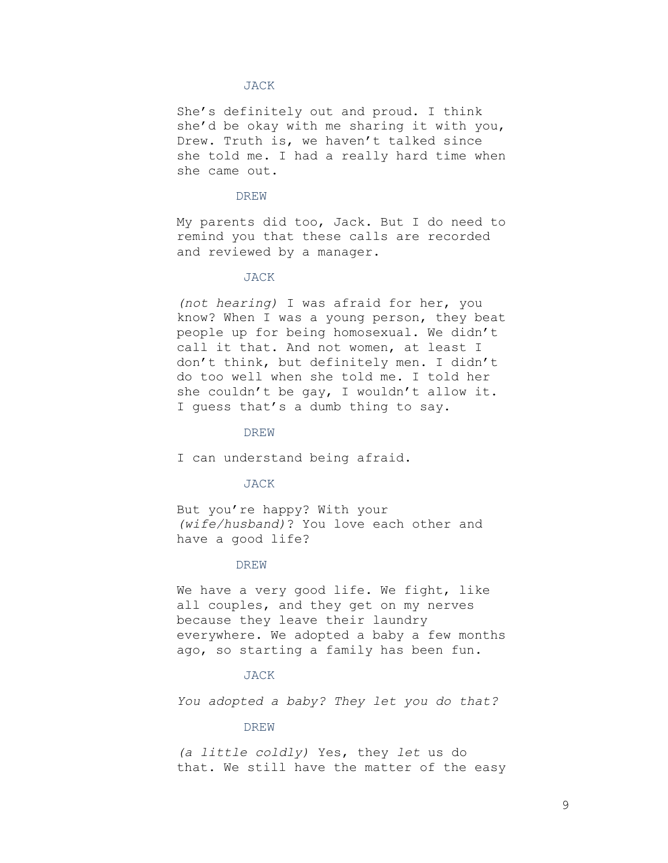She's definitely out and proud. I think she'd be okay with me sharing it with you, Drew. Truth is, we haven't talked since she told me. I had a really hard time when she came out.

### DREW

My parents did too, Jack. But I do need to remind you that these calls are recorded and reviewed by a manager.

# JACK

(not hearing) I was afraid for her, you know? When I was a young person, they beat people up for being homosexual. We didn't call it that. And not women, at least I don't think, but definitely men. I didn't do too well when she told me. I told her she couldn't be gay, I wouldn't allow it. I guess that's a dumb thing to say.

#### DREW

I can understand being afraid.

#### JACK

But you're happy? With your (wife/husband)? You love each other and have a good life?

# **DREW**

We have a very good life. We fight, like all couples, and they get on my nerves because they leave their laundry everywhere. We adopted a baby a few months ago, so starting a family has been fun.

#### JACK

You adopted a baby? They let you do that?

#### DREW

(a little coldly) Yes, they let us do that. We still have the matter of the easy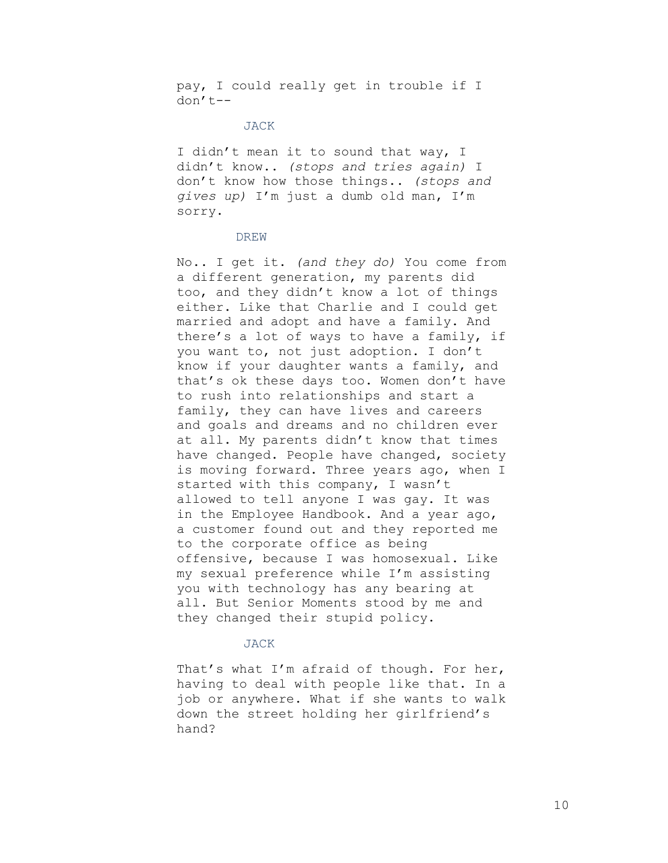pay, I could really get in trouble if I don't--

# JACK

I didn't mean it to sound that way, I didn't know.. (stops and tries again) I don't know how those things.. (stops and gives up) I'm just a dumb old man, I'm sorry.

# DREW

No.. I get it. (and they do) You come from a different generation, my parents did too, and they didn't know a lot of things either. Like that Charlie and I could get married and adopt and have a family. And there's a lot of ways to have a family, if you want to, not just adoption. I don't know if your daughter wants a family, and that's ok these days too. Women don't have to rush into relationships and start a family, they can have lives and careers and goals and dreams and no children ever at all. My parents didn't know that times have changed. People have changed, society is moving forward. Three years ago, when I started with this company, I wasn't allowed to tell anyone I was gay. It was in the Employee Handbook. And a year ago, a customer found out and they reported me to the corporate office as being offensive, because I was homosexual. Like my sexual preference while I'm assisting you with technology has any bearing at all. But Senior Moments stood by me and they changed their stupid policy.

#### JACK

That's what I'm afraid of though. For her, having to deal with people like that. In a job or anywhere. What if she wants to walk down the street holding her girlfriend's hand?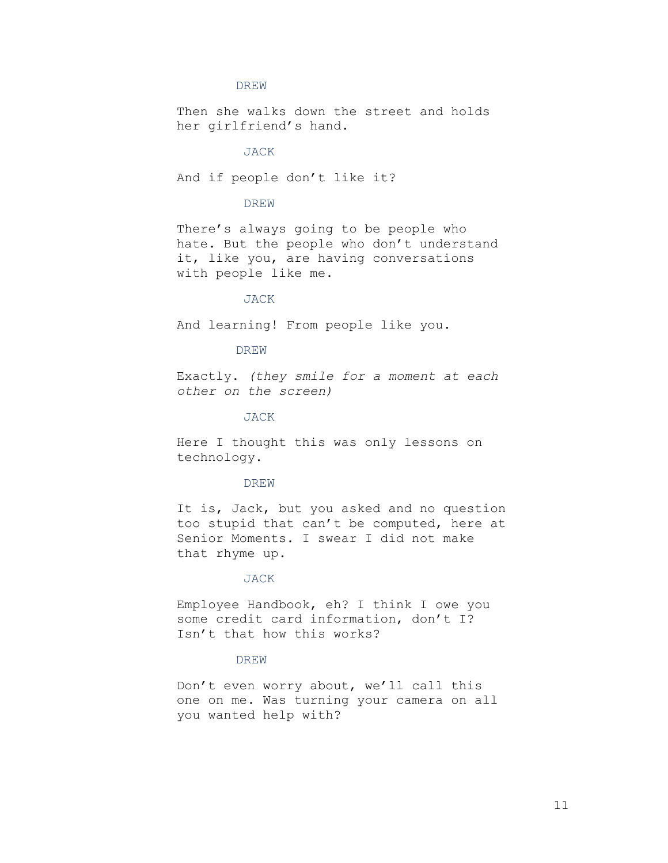Then she walks down the street and holds her girlfriend's hand.

#### JACK

And if people don't like it?

# DREW

There's always going to be people who hate. But the people who don't understand it, like you, are having conversations with people like me.

# JACK

And learning! From people like you.

# DREW

Exactly. (they smile for a moment at each other on the screen)

#### JACK

Here I thought this was only lessons on technology.

#### DREW

It is, Jack, but you asked and no question too stupid that can't be computed, here at Senior Moments. I swear I did not make that rhyme up.

# JACK

Employee Handbook, eh? I think I owe you some credit card information, don't I? Isn't that how this works?

# DREW

Don't even worry about, we'll call this one on me. Was turning your camera on all you wanted help with?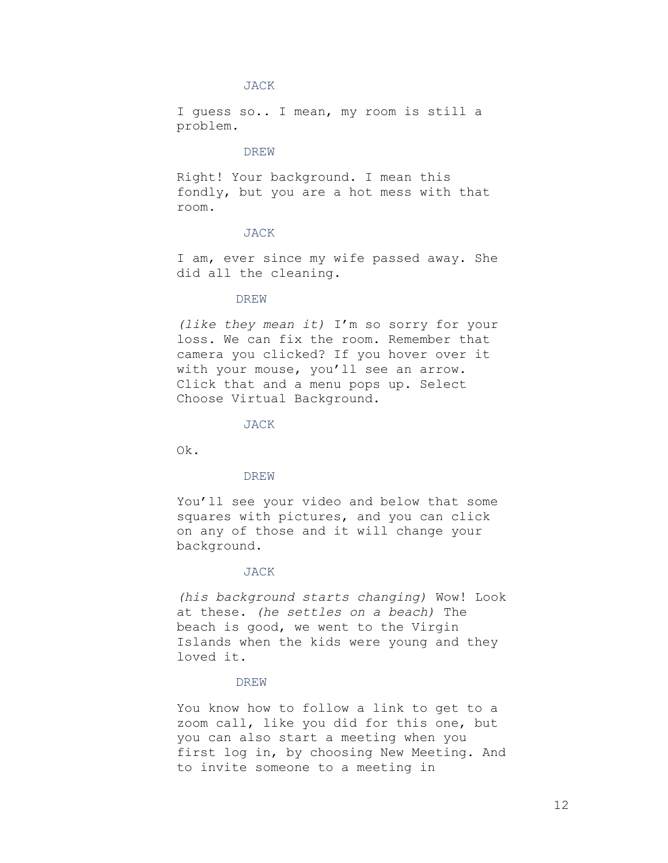I guess so.. I mean, my room is still a problem.

# DREW

Right! Your background. I mean this fondly, but you are a hot mess with that room.

# JACK

I am, ever since my wife passed away. She did all the cleaning.

# DREW

(like they mean it) I'm so sorry for your loss. We can fix the room. Remember that camera you clicked? If you hover over it with your mouse, you'll see an arrow. Click that and a menu pops up. Select Choose Virtual Background.

JACK

Ok.

# DREW

You'll see your video and below that some squares with pictures, and you can click on any of those and it will change your background.

#### JACK

(his background starts changing) Wow! Look at these. (he settles on a beach) The beach is good, we went to the Virgin Islands when the kids were young and they loved it.

# DREW

You know how to follow a link to get to a zoom call, like you did for this one, but you can also start a meeting when you first log in, by choosing New Meeting. And to invite someone to a meeting in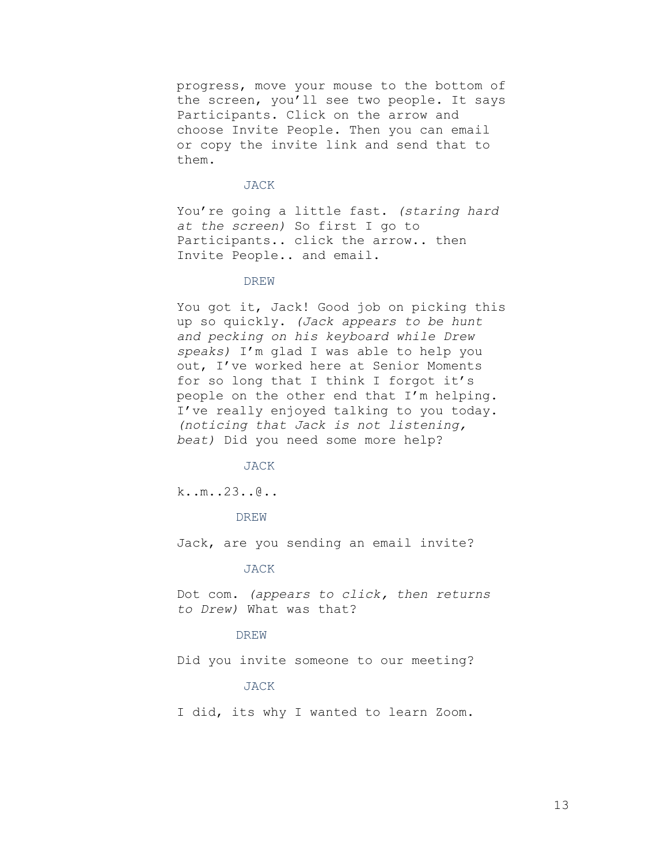progress, move your mouse to the bottom of the screen, you'll see two people. It says Participants. Click on the arrow and choose Invite People. Then you can email or copy the invite link and send that to them.

# JACK

You're going a little fast. (staring hard at the screen) So first I go to Participants.. click the arrow.. then Invite People.. and email.

### DREW

You got it, Jack! Good job on picking this up so quickly. (Jack appears to be hunt and pecking on his keyboard while Drew speaks) I'm glad I was able to help you out, I've worked here at Senior Moments for so long that I think I forgot it's people on the other end that I'm helping. I've really enjoyed talking to you today. (noticing that Jack is not listening, beat) Did you need some more help?

#### JACK

k..m..23..@..

#### DREW

Jack, are you sending an email invite?

#### JACK

Dot com. (appears to click, then returns to Drew) What was that?

# DREW

Did you invite someone to our meeting?

# JACK

I did, its why I wanted to learn Zoom.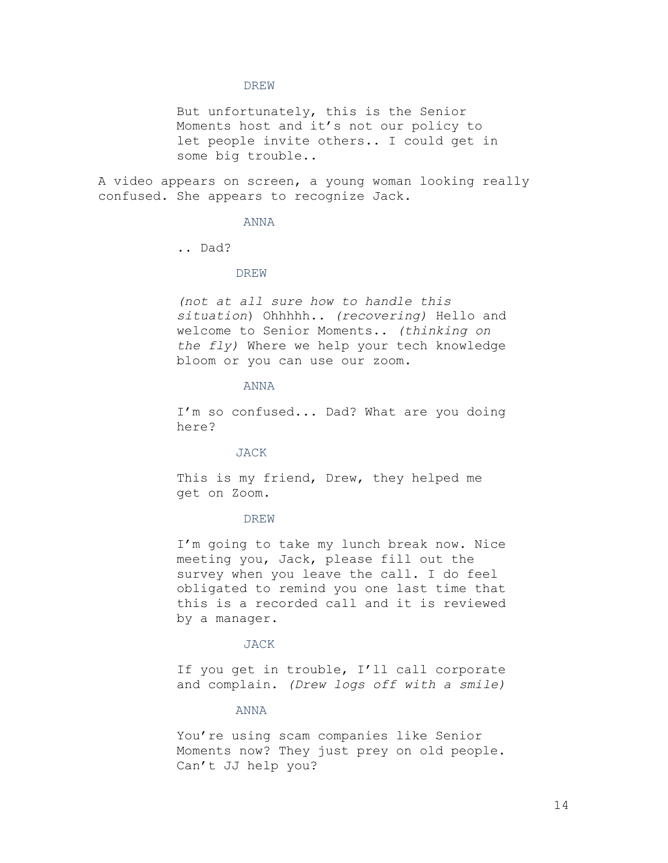But unfortunately, this is the Senior Moments host and it's not our policy to let people invite others.. I could get in some big trouble..

A video appears on screen, a young woman looking really confused. She appears to recognize Jack.

# ANNA

.. Dad?

# DREW

(not at all sure how to handle this situation) Ohhhhh.. (recovering) Hello and welcome to Senior Moments.. (thinking on the fly) Where we help your tech knowledge bloom or you can use our zoom.

# ANNA

I'm so confused... Dad? What are you doing here?

# JACK

This is my friend, Drew, they helped me get on Zoom.

# DREW

I'm going to take my lunch break now. Nice meeting you, Jack, please fill out the survey when you leave the call. I do feel obligated to remind you one last time that this is a recorded call and it is reviewed by a manager.

#### JACK

If you get in trouble, I'll call corporate and complain. (Drew logs off with a smile)

#### ANNA

You're using scam companies like Senior Moments now? They just prey on old people. Can't JJ help you?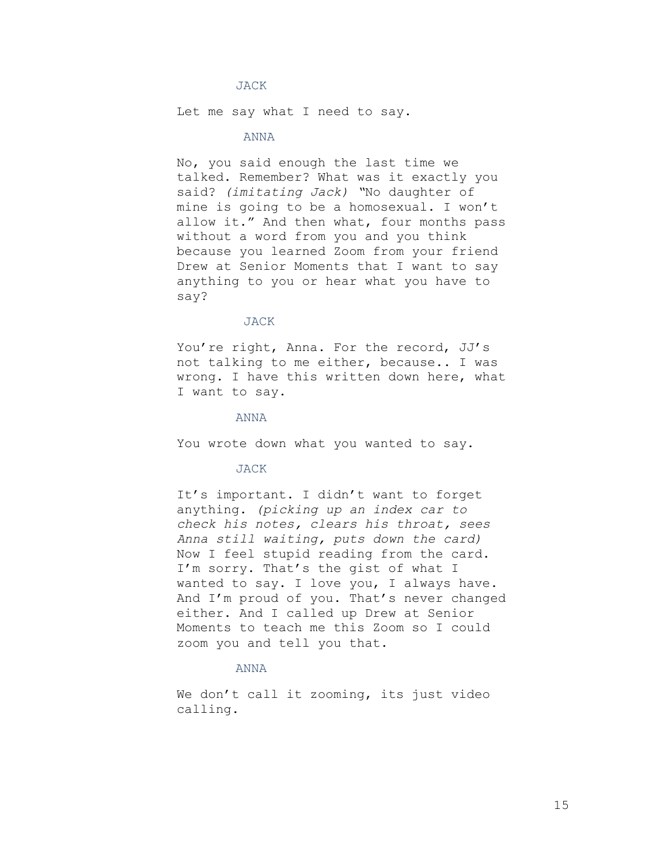Let me say what I need to say.

# ANNA

No, you said enough the last time we talked. Remember? What was it exactly you said? (imitating Jack) "No daughter of mine is going to be a homosexual. I won't allow it." And then what, four months pass without a word from you and you think because you learned Zoom from your friend Drew at Senior Moments that I want to say anything to you or hear what you have to say?

#### JACK

You're right, Anna. For the record, JJ's not talking to me either, because.. I was wrong. I have this written down here, what I want to say.

#### ANNA

You wrote down what you wanted to say.

#### JACK

It's important. I didn't want to forget anything. (picking up an index car to check his notes, clears his throat, sees Anna still waiting, puts down the card) Now I feel stupid reading from the card. I'm sorry. That's the gist of what I wanted to say. I love you, I always have. And I'm proud of you. That's never changed either. And I called up Drew at Senior Moments to teach me this Zoom so I could zoom you and tell you that.

# ANNA

We don't call it zooming, its just video calling.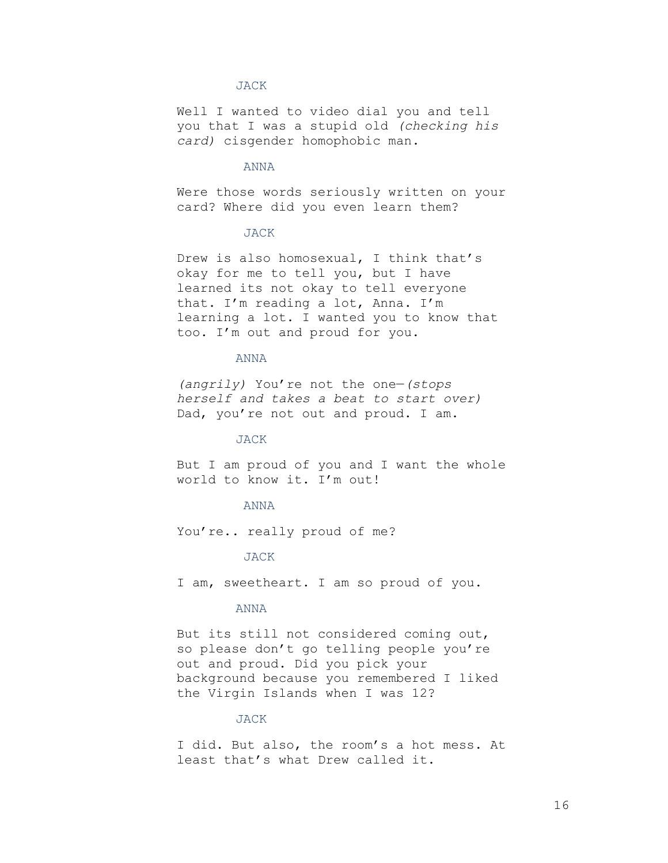Well I wanted to video dial you and tell you that I was a stupid old (checking his card) cisgender homophobic man.

# ANNA

Were those words seriously written on your card? Where did you even learn them?

# JACK

Drew is also homosexual, I think that's okay for me to tell you, but I have learned its not okay to tell everyone that. I'm reading a lot, Anna. I'm learning a lot. I wanted you to know that too. I'm out and proud for you.

### ANNA

(angrily) You're not the one—(stops herself and takes a beat to start over) Dad, you're not out and proud. I am.

### JACK

But I am proud of you and I want the whole world to know it. I'm out!

#### ANNA

You're.. really proud of me?

# JACK

I am, sweetheart. I am so proud of you.

# ANNA

But its still not considered coming out, so please don't go telling people you're out and proud. Did you pick your background because you remembered I liked the Virgin Islands when I was 12?

# JACK

I did. But also, the room's a hot mess. At least that's what Drew called it.